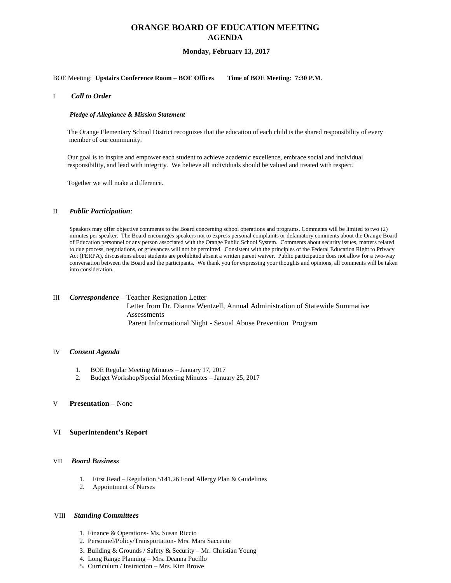# **ORANGE BOARD OF EDUCATION MEETING AGENDA**

## **Monday, February 13, 2017**

## BOE Meeting: **Upstairs Conference Room – BOE Offices Time of BOE Meeting**: **7:30 P.M**.

### I *Call to Order*

#### *Pledge of Allegiance & Mission Statement*

The Orange Elementary School District recognizes that the education of each child is the shared responsibility of every member of our community.

Our goal is to inspire and empower each student to achieve academic excellence, embrace social and individual responsibility, and lead with integrity. We believe all individuals should be valued and treated with respect.

Together we will make a difference.

#### II *Public Participation*:

Speakers may offer objective comments to the Board concerning school operations and programs. Comments will be limited to two (2) minutes per speaker. The Board encourages speakers not to express personal complaints or defamatory comments about the Orange Board of Education personnel or any person associated with the Orange Public School System. Comments about security issues, matters related to due process, negotiations, or grievances will not be permitted. Consistent with the principles of the Federal Education Right to Privacy Act (FERPA), discussions about students are prohibited absent a written parent waiver. Public participation does not allow for a two-way conversation between the Board and the participants. We thank you for expressing your thoughts and opinions, all comments will be taken into consideration.

## III *Correspondence –* Teacher Resignation Letter

 Letter from Dr. Dianna Wentzell, Annual Administration of Statewide Summative **Assessments** Parent Informational Night - Sexual Abuse Prevention Program

#### IV *Consent Agenda*

- 1. BOE Regular Meeting Minutes January 17, 2017
- 2. Budget Workshop/Special Meeting Minutes January 25, 2017

#### V **Presentation –** None

### VI **Superintendent's Report**

## VII *Board Business*

- 1. First Read Regulation 5141.26 Food Allergy Plan & Guidelines
- 2. Appointment of Nurses

### VIII *Standing Committees*

- 1. Finance & Operations- Ms. Susan Riccio
- 2. Personnel/Policy/Transportation- Mrs. Mara Saccente
- 3. Building & Grounds / Safety & Security Mr. Christian Young
- 4. Long Range Planning Mrs. Deanna Pucillo
- 5. Curriculum / Instruction Mrs. Kim Browe